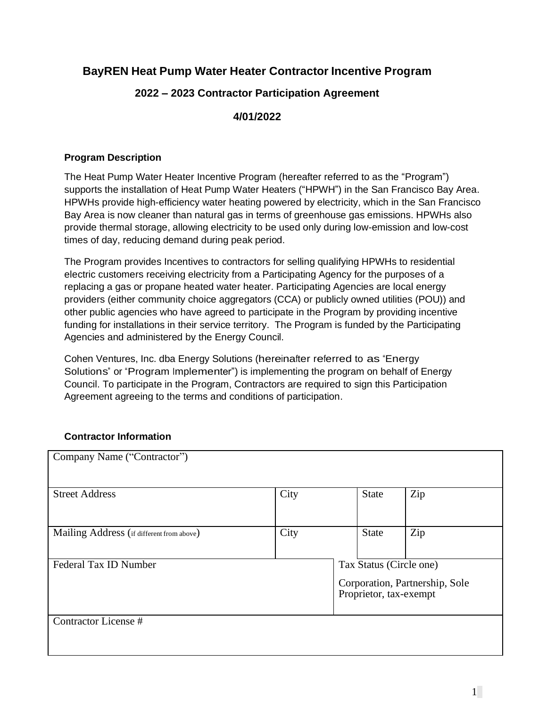# **BayREN Heat Pump Water Heater Contractor Incentive Program**

# **2022 – 2023 Contractor Participation Agreement**

# **4/01/2022**

# **Program Description**

The Heat Pump Water Heater Incentive Program (hereafter referred to as the "Program") supports the installation of Heat Pump Water Heaters ("HPWH") in the San Francisco Bay Area. HPWHs provide high-efficiency water heating powered by electricity, which in the San Francisco Bay Area is now cleaner than natural gas in terms of greenhouse gas emissions. HPWHs also provide thermal storage, allowing electricity to be used only during low-emission and low-cost times of day, reducing demand during peak period.

The Program provides Incentives to contractors for selling qualifying HPWHs to residential electric customers receiving electricity from a Participating Agency for the purposes of a replacing a gas or propane heated water heater. Participating Agencies are local energy providers (either community choice aggregators (CCA) or publicly owned utilities (POU)) and other public agencies who have agreed to participate in the Program by providing incentive funding for installations in their service territory. The Program is funded by the Participating Agencies and administered by the Energy Council.

Cohen Ventures, Inc. dba Energy Solutions (hereinafter referred to as "Energy Solutions" or "Program Implementer") is implementing the program on behalf of Energy Council. To participate in the Program, Contractors are required to sign this Participation Agreement agreeing to the terms and conditions of participation.

# **Contractor Information**

| Company Name ("Contractor")               |      |  |                                                                                     |     |  |
|-------------------------------------------|------|--|-------------------------------------------------------------------------------------|-----|--|
| <b>Street Address</b>                     | City |  | State                                                                               | Zip |  |
| Mailing Address (if different from above) | City |  | <b>State</b>                                                                        | Zip |  |
| Federal Tax ID Number                     |      |  | Tax Status (Circle one)<br>Corporation, Partnership, Sole<br>Proprietor, tax-exempt |     |  |
| Contractor License #                      |      |  |                                                                                     |     |  |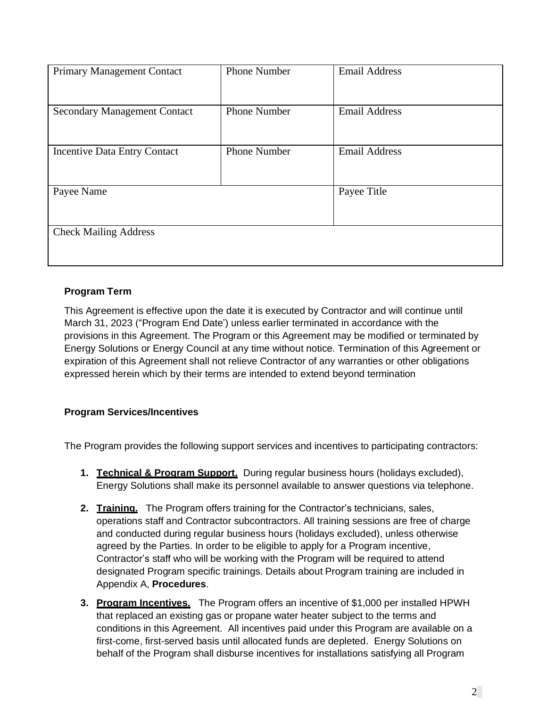| <b>Primary Management Contact</b>   | <b>Phone Number</b> | <b>Email Address</b> |
|-------------------------------------|---------------------|----------------------|
| <b>Secondary Management Contact</b> | <b>Phone Number</b> | <b>Email Address</b> |
| <b>Incentive Data Entry Contact</b> | <b>Phone Number</b> | <b>Email Address</b> |
| Payee Name                          |                     | Payee Title          |
| <b>Check Mailing Address</b>        |                     |                      |

# **Program Term**

This Agreement is effective upon the date it is executed by Contractor and will continue until March 31, 2023 ("Program End Date') unless earlier terminated in accordance with the provisions in this Agreement. The Program or this Agreement may be modified or terminated by Energy Solutions or Energy Council at any time without notice. Termination of this Agreement or expiration of this Agreement shall not relieve Contractor of any warranties or other obligations expressed herein which by their terms are intended to extend beyond termination

# **Program Services/Incentives**

The Program provides the following support services and incentives to participating contractors:

- **1. Technical & Program Support.** During regular business hours (holidays excluded), Energy Solutions shall make its personnel available to answer questions via telephone.
- **2. Training.** The Program offers training for the Contractor's technicians, sales, operations staff and Contractor subcontractors. All training sessions are free of charge and conducted during regular business hours (holidays excluded), unless otherwise agreed by the Parties. In order to be eligible to apply for a Program incentive, Contractor's staff who will be working with the Program will be required to attend designated Program specific trainings. Details about Program training are included in Appendix A, **Procedures**.
- **3. Program Incentives.** The Program offers an incentive of \$1,000 per installed HPWH that replaced an existing gas or propane water heater subject to the terms and conditions in this Agreement. All incentives paid under this Program are available on a first-come, first-served basis until allocated funds are depleted. Energy Solutions on behalf of the Program shall disburse incentives for installations satisfying all Program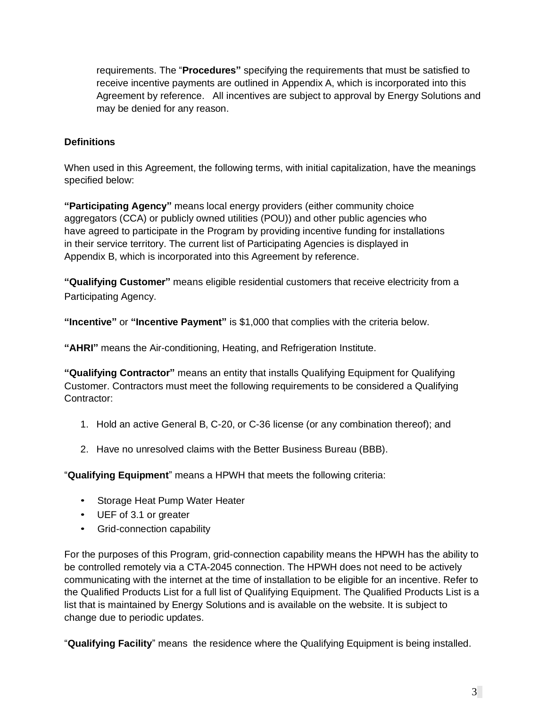requirements. The "**Procedures"** specifying the requirements that must be satisfied to receive incentive payments are outlined in Appendix A, which is incorporated into this Agreement by reference. All incentives are subject to approval by Energy Solutions and may be denied for any reason.

# **Definitions**

When used in this Agreement, the following terms, with initial capitalization, have the meanings specified below:

**"Participating Agency"** means local energy providers (either community choice aggregators (CCA) or publicly owned utilities (POU)) and other public agencies who have agreed to participate in the Program by providing incentive funding for installations in their service territory. The current list of Participating Agencies is displayed in Appendix B, which is incorporated into this Agreement by reference.

**"Qualifying Customer"** means eligible residential customers that receive electricity from a Participating Agency.

**"Incentive"** or **"Incentive Payment"** is \$1,000 that complies with the criteria below.

**"AHRI"** means the Air-conditioning, Heating, and Refrigeration Institute.

**"Qualifying Contractor"** means an entity that installs Qualifying Equipment for Qualifying Customer. Contractors must meet the following requirements to be considered a Qualifying Contractor:

- 1. Hold an active General B, C-20, or C-36 license (or any combination thereof); and
- 2. Have no unresolved claims with the Better Business Bureau (BBB).

"**Qualifying Equipment**" means a HPWH that meets the following criteria:

- Storage Heat Pump Water Heater
- UEF of 3.1 or greater
- Grid-connection capability

For the purposes of this Program, grid-connection capability means the HPWH has the ability to be controlled remotely via a CTA-2045 connection. The HPWH does not need to be actively communicating with the internet at the time of installation to be eligible for an incentive. Refer to the Qualified Products List for a full list of Qualifying Equipment. The Qualified Products List is a list that is maintained by Energy Solutions and is available on the website. It is subject to change due to periodic updates.

"**Qualifying Facility**" means the residence where the Qualifying Equipment is being installed.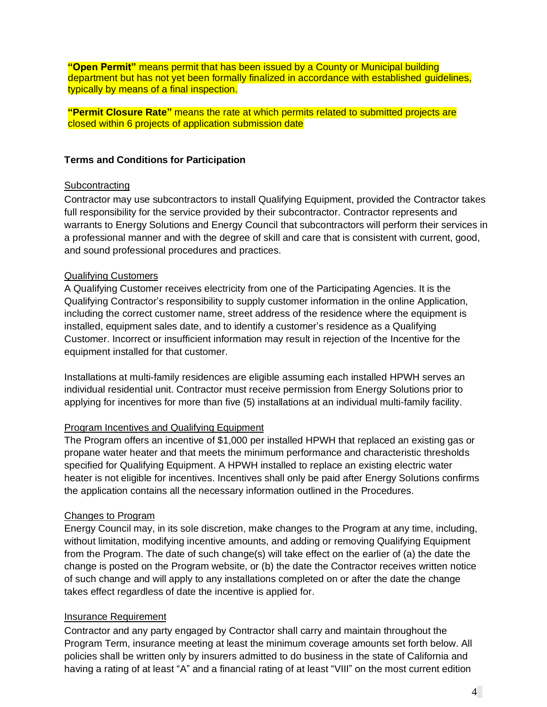**"Open Permit"** means permit that has been issued by a County or Municipal building department but has not yet been formally finalized in accordance with established guidelines, typically by means of a final inspection.

**"Permit Closure Rate"** means the rate at which permits related to submitted projects are closed within 6 projects of application submission date

#### **Terms and Conditions for Participation**

#### **Subcontracting**

Contractor may use subcontractors to install Qualifying Equipment, provided the Contractor takes full responsibility for the service provided by their subcontractor. Contractor represents and warrants to Energy Solutions and Energy Council that subcontractors will perform their services in a professional manner and with the degree of skill and care that is consistent with current, good, and sound professional procedures and practices.

#### Qualifying Customers

A Qualifying Customer receives electricity from one of the Participating Agencies. It is the Qualifying Contractor's responsibility to supply customer information in the online Application, including the correct customer name, street address of the residence where the equipment is installed, equipment sales date, and to identify a customer's residence as a Qualifying Customer. Incorrect or insufficient information may result in rejection of the Incentive for the equipment installed for that customer.

Installations at multi-family residences are eligible assuming each installed HPWH serves an individual residential unit. Contractor must receive permission from Energy Solutions prior to applying for incentives for more than five (5) installations at an individual multi-family facility.

#### Program Incentives and Qualifying Equipment

The Program offers an incentive of \$1,000 per installed HPWH that replaced an existing gas or propane water heater and that meets the minimum performance and characteristic thresholds specified for Qualifying Equipment. A HPWH installed to replace an existing electric water heater is not eligible for incentives. Incentives shall only be paid after Energy Solutions confirms the application contains all the necessary information outlined in the Procedures.

#### Changes to Program

Energy Council may, in its sole discretion, make changes to the Program at any time, including, without limitation, modifying incentive amounts, and adding or removing Qualifying Equipment from the Program. The date of such change(s) will take effect on the earlier of (a) the date the change is posted on the Program website, or (b) the date the Contractor receives written notice of such change and will apply to any installations completed on or after the date the change takes effect regardless of date the incentive is applied for.

#### Insurance Requirement

Contractor and any party engaged by Contractor shall carry and maintain throughout the Program Term, insurance meeting at least the minimum coverage amounts set forth below. All policies shall be written only by insurers admitted to do business in the state of California and having a rating of at least "A" and a financial rating of at least "VIII" on the most current edition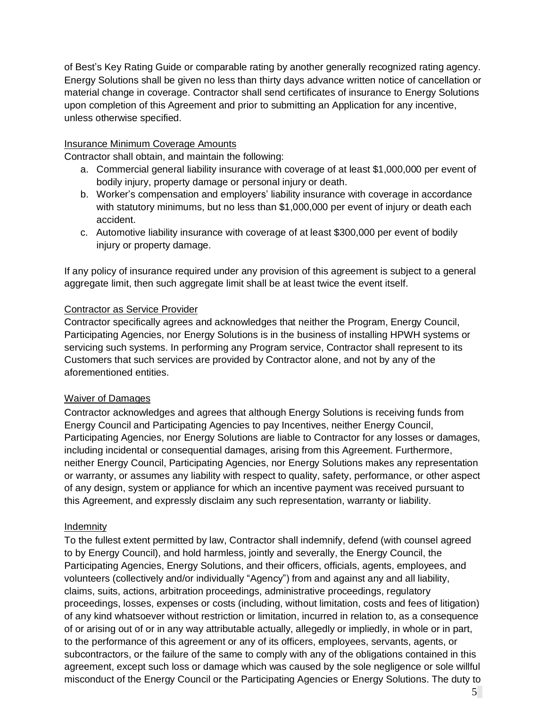of Best's Key Rating Guide or comparable rating by another generally recognized rating agency. Energy Solutions shall be given no less than thirty days advance written notice of cancellation or material change in coverage. Contractor shall send certificates of insurance to Energy Solutions upon completion of this Agreement and prior to submitting an Application for any incentive, unless otherwise specified.

# Insurance Minimum Coverage Amounts

Contractor shall obtain, and maintain the following:

- a. Commercial general liability insurance with coverage of at least \$1,000,000 per event of bodily injury, property damage or personal injury or death.
- b. Worker's compensation and employers' liability insurance with coverage in accordance with statutory minimums, but no less than \$1,000,000 per event of injury or death each accident.
- c. Automotive liability insurance with coverage of at least \$300,000 per event of bodily injury or property damage.

If any policy of insurance required under any provision of this agreement is subject to a general aggregate limit, then such aggregate limit shall be at least twice the event itself.

# Contractor as Service Provider

Contractor specifically agrees and acknowledges that neither the Program, Energy Council, Participating Agencies, nor Energy Solutions is in the business of installing HPWH systems or servicing such systems. In performing any Program service, Contractor shall represent to its Customers that such services are provided by Contractor alone, and not by any of the aforementioned entities.

#### Waiver of Damages

Contractor acknowledges and agrees that although Energy Solutions is receiving funds from Energy Council and Participating Agencies to pay Incentives, neither Energy Council, Participating Agencies, nor Energy Solutions are liable to Contractor for any losses or damages, including incidental or consequential damages, arising from this Agreement. Furthermore, neither Energy Council, Participating Agencies, nor Energy Solutions makes any representation or warranty, or assumes any liability with respect to quality, safety, performance, or other aspect of any design, system or appliance for which an incentive payment was received pursuant to this Agreement, and expressly disclaim any such representation, warranty or liability.

#### Indemnity

To the fullest extent permitted by law, Contractor shall indemnify, defend (with counsel agreed to by Energy Council), and hold harmless, jointly and severally, the Energy Council, the Participating Agencies, Energy Solutions, and their officers, officials, agents, employees, and volunteers (collectively and/or individually "Agency") from and against any and all liability, claims, suits, actions, arbitration proceedings, administrative proceedings, regulatory proceedings, losses, expenses or costs (including, without limitation, costs and fees of litigation) of any kind whatsoever without restriction or limitation, incurred in relation to, as a consequence of or arising out of or in any way attributable actually, allegedly or impliedly, in whole or in part, to the performance of this agreement or any of its officers, employees, servants, agents, or subcontractors, or the failure of the same to comply with any of the obligations contained in this agreement, except such loss or damage which was caused by the sole negligence or sole willful misconduct of the Energy Council or the Participating Agencies or Energy Solutions. The duty to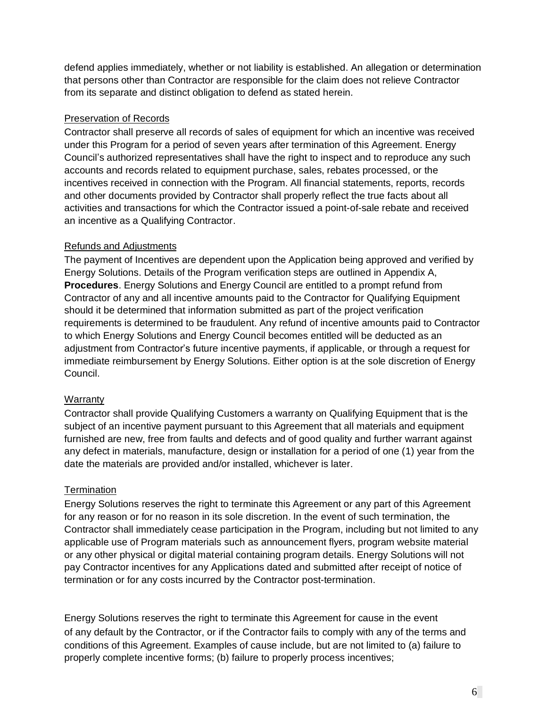defend applies immediately, whether or not liability is established. An allegation or determination that persons other than Contractor are responsible for the claim does not relieve Contractor from its separate and distinct obligation to defend as stated herein.

### Preservation of Records

Contractor shall preserve all records of sales of equipment for which an incentive was received under this Program for a period of seven years after termination of this Agreement. Energy Council's authorized representatives shall have the right to inspect and to reproduce any such accounts and records related to equipment purchase, sales, rebates processed, or the incentives received in connection with the Program. All financial statements, reports, records and other documents provided by Contractor shall properly reflect the true facts about all activities and transactions for which the Contractor issued a point-of-sale rebate and received an incentive as a Qualifying Contractor.

# Refunds and Adjustments

The payment of Incentives are dependent upon the Application being approved and verified by Energy Solutions. Details of the Program verification steps are outlined in Appendix A, **Procedures**. Energy Solutions and Energy Council are entitled to a prompt refund from Contractor of any and all incentive amounts paid to the Contractor for Qualifying Equipment should it be determined that information submitted as part of the project verification requirements is determined to be fraudulent. Any refund of incentive amounts paid to Contractor to which Energy Solutions and Energy Council becomes entitled will be deducted as an adjustment from Contractor's future incentive payments, if applicable, or through a request for immediate reimbursement by Energy Solutions. Either option is at the sole discretion of Energy Council.

#### **Warranty**

Contractor shall provide Qualifying Customers a warranty on Qualifying Equipment that is the subject of an incentive payment pursuant to this Agreement that all materials and equipment furnished are new, free from faults and defects and of good quality and further warrant against any defect in materials, manufacture, design or installation for a period of one (1) year from the date the materials are provided and/or installed, whichever is later.

#### **Termination**

Energy Solutions reserves the right to terminate this Agreement or any part of this Agreement for any reason or for no reason in its sole discretion. In the event of such termination, the Contractor shall immediately cease participation in the Program, including but not limited to any applicable use of Program materials such as announcement flyers, program website material or any other physical or digital material containing program details. Energy Solutions will not pay Contractor incentives for any Applications dated and submitted after receipt of notice of termination or for any costs incurred by the Contractor post-termination.

Energy Solutions reserves the right to terminate this Agreement for cause in the event of any default by the Contractor, or if the Contractor fails to comply with any of the terms and conditions of this Agreement. Examples of cause include, but are not limited to (a) failure to properly complete incentive forms; (b) failure to properly process incentives;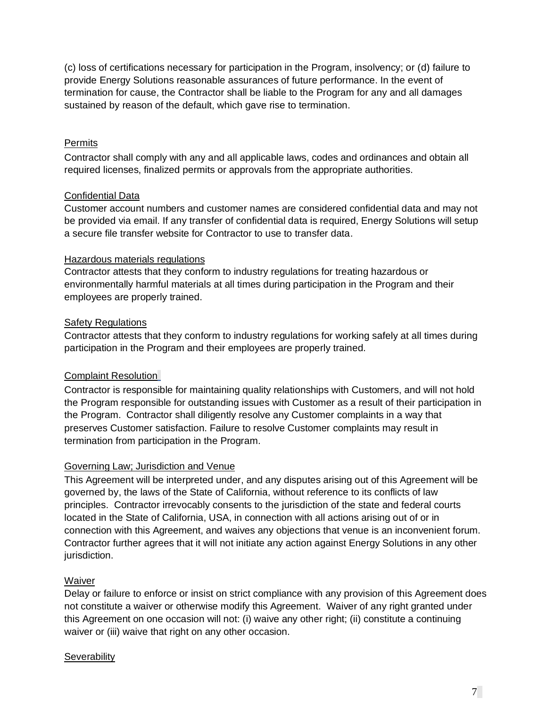(c) loss of certifications necessary for participation in the Program, insolvency; or (d) failure to provide Energy Solutions reasonable assurances of future performance. In the event of termination for cause, the Contractor shall be liable to the Program for any and all damages sustained by reason of the default, which gave rise to termination.

#### Permits

Contractor shall comply with any and all applicable laws, codes and ordinances and obtain all required licenses, finalized permits or approvals from the appropriate authorities.

# Confidential Data

Customer account numbers and customer names are considered confidential data and may not be provided via email. If any transfer of confidential data is required, Energy Solutions will setup a secure file transfer website for Contractor to use to transfer data.

#### Hazardous materials regulations

Contractor attests that they conform to industry regulations for treating hazardous or environmentally harmful materials at all times during participation in the Program and their employees are properly trained.

# Safety Regulations

Contractor attests that they conform to industry regulations for working safely at all times during participation in the Program and their employees are properly trained.

# Complaint Resolution

Contractor is responsible for maintaining quality relationships with Customers, and will not hold the Program responsible for outstanding issues with Customer as a result of their participation in the Program. Contractor shall diligently resolve any Customer complaints in a way that preserves Customer satisfaction. Failure to resolve Customer complaints may result in termination from participation in the Program.

#### Governing Law; Jurisdiction and Venue

This Agreement will be interpreted under, and any disputes arising out of this Agreement will be governed by, the laws of the State of California, without reference to its conflicts of law principles. Contractor irrevocably consents to the jurisdiction of the state and federal courts located in the State of California, USA, in connection with all actions arising out of or in connection with this Agreement, and waives any objections that venue is an inconvenient forum. Contractor further agrees that it will not initiate any action against Energy Solutions in any other jurisdiction.

# **Waiver**

Delay or failure to enforce or insist on strict compliance with any provision of this Agreement does not constitute a waiver or otherwise modify this Agreement. Waiver of any right granted under this Agreement on one occasion will not: (i) waive any other right; (ii) constitute a continuing waiver or (iii) waive that right on any other occasion.

#### **Severability**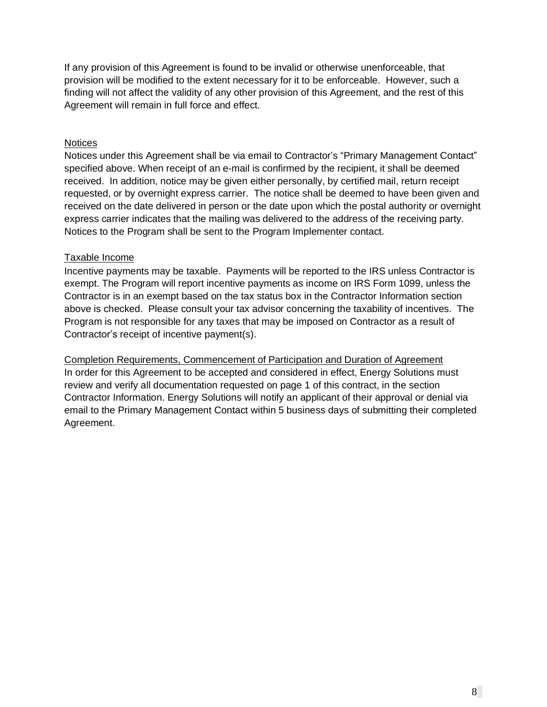If any provision of this Agreement is found to be invalid or otherwise unenforceable, that provision will be modified to the extent necessary for it to be enforceable. However, such a finding will not affect the validity of any other provision of this Agreement, and the rest of this Agreement will remain in full force and effect.

#### **Notices**

Notices under this Agreement shall be via email to Contractor's "Primary Management Contact" specified above. When receipt of an e-mail is confirmed by the recipient, it shall be deemed received. In addition, notice may be given either personally, by certified mail, return receipt requested, or by overnight express carrier. The notice shall be deemed to have been given and received on the date delivered in person or the date upon which the postal authority or overnight express carrier indicates that the mailing was delivered to the address of the receiving party. Notices to the Program shall be sent to the Program Implementer contact.

#### Taxable Income

Incentive payments may be taxable. Payments will be reported to the IRS unless Contractor is exempt. The Program will report incentive payments as income on IRS Form 1099, unless the Contractor is in an exempt based on the tax status box in the Contractor Information section above is checked. Please consult your tax advisor concerning the taxability of incentives. The Program is not responsible for any taxes that may be imposed on Contractor as a result of Contractor's receipt of incentive payment(s).

Completion Requirements, Commencement of Participation and Duration of Agreement In order for this Agreement to be accepted and considered in effect, Energy Solutions must review and verify all documentation requested on page 1 of this contract, in the section Contractor Information. Energy Solutions will notify an applicant of their approval or denial via email to the Primary Management Contact within 5 business days of submitting their completed Agreement.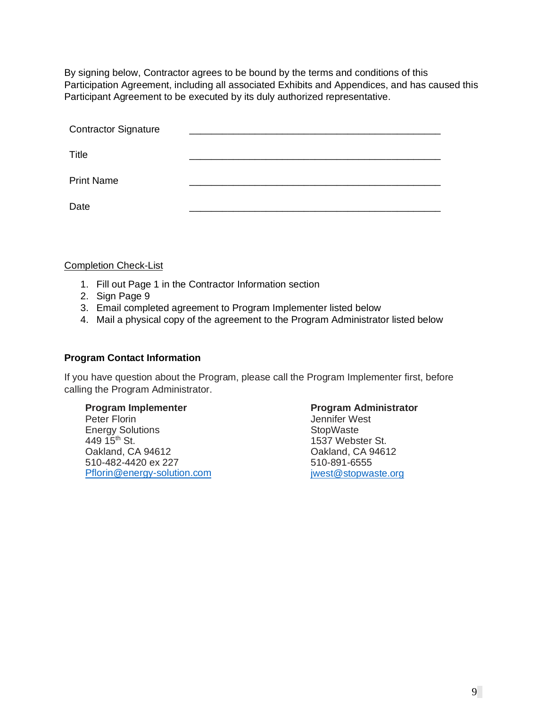By signing below, Contractor agrees to be bound by the terms and conditions of this Participation Agreement, including all associated Exhibits and Appendices, and has caused this Participant Agreement to be executed by its duly authorized representative.

| <b>Contractor Signature</b> |  |  |
|-----------------------------|--|--|
|                             |  |  |
| Title                       |  |  |
| <b>Print Name</b>           |  |  |
|                             |  |  |
| Date                        |  |  |

Completion Check-List

- 1. Fill out Page 1 in the Contractor Information section
- 2. Sign Page 9
- 3. Email completed agreement to Program Implementer listed below
- 4. Mail a physical copy of the agreement to the Program Administrator listed below

#### **Program Contact Information**

If you have question about the Program, please call the Program Implementer first, before calling the Program Administrator.

Peter Florin Energy Solutions 449  $15^{th}$  St. Oakland, CA 94612 510-482-4420 ex 227 [Pflorin@energy-solution.com](mailto:Pflorin@energy-solution.com)

#### **Program Implementer Constrainer Program Administrator**

Jennifer West **StopWaste** 1537 Webster St. Oakland, CA 94612 510-891-6555 [jwest@stopwaste.org](mailto:jwest@stopwaste.org)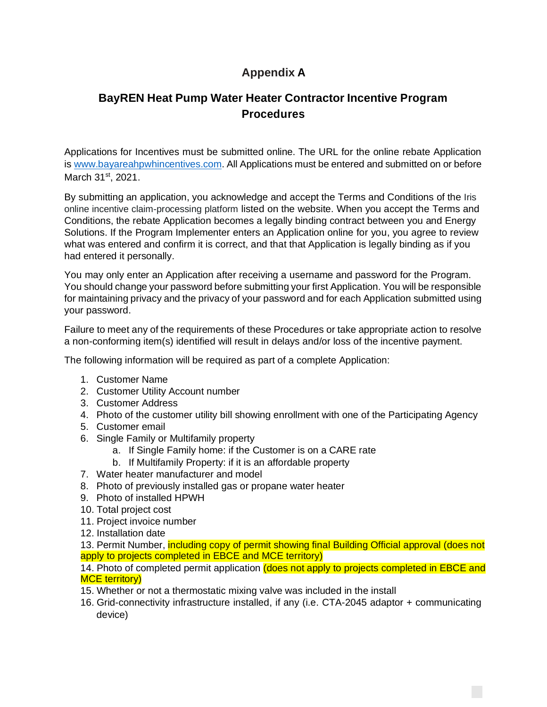# **Appendix A**

# **BayREN Heat Pump Water Heater Contractor Incentive Program Procedures**

Applications for Incentives must be submitted online. The URL for the online rebate Application is [www.bayareahpwhincentives.com.](http://www.bayareahpwhincentives.com/) All Applications must be entered and submitted on or before March 31st, 2021.

By submitting an application, you acknowledge and accept the Terms and Conditions of the Iris online incentive claim-processing platform listed on the website. When you accept the Terms and Conditions, the rebate Application becomes a legally binding contract between you and Energy Solutions. If the Program Implementer enters an Application online for you, you agree to review what was entered and confirm it is correct, and that that Application is legally binding as if you had entered it personally.

You may only enter an Application after receiving a username and password for the Program. You should change your password before submitting your first Application. You will be responsible for maintaining privacy and the privacy of your password and for each Application submitted using your password.

Failure to meet any of the requirements of these Procedures or take appropriate action to resolve a non-conforming item(s) identified will result in delays and/or loss of the incentive payment.

The following information will be required as part of a complete Application:

- 1. Customer Name
- 2. Customer Utility Account number
- 3. Customer Address
- 4. Photo of the customer utility bill showing enrollment with one of the Participating Agency
- 5. Customer email
- 6. Single Family or Multifamily property
	- a. If Single Family home: if the Customer is on a CARE rate
	- b. If Multifamily Property: if it is an affordable property
- 7. Water heater manufacturer and model
- 8. Photo of previously installed gas or propane water heater
- 9. Photo of installed HPWH
- 10. Total project cost
- 11. Project invoice number
- 12. Installation date

13. Permit Number, *including copy of permit showing final Building Official approval (does not* apply to projects completed in EBCE and MCE territory)

14. Photo of completed permit application (does not apply to projects completed in EBCE and MCE territory)

- 15. Whether or not a thermostatic mixing valve was included in the install
- 16. Grid-connectivity infrastructure installed, if any (i.e. CTA-2045 adaptor + communicating device)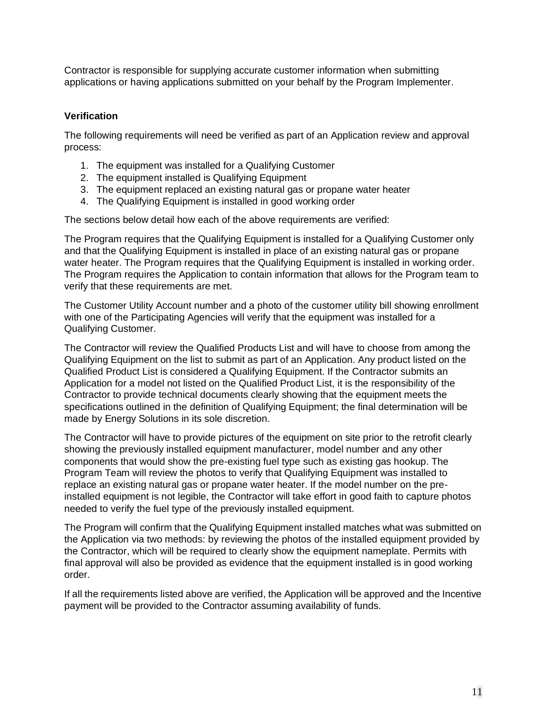Contractor is responsible for supplying accurate customer information when submitting applications or having applications submitted on your behalf by the Program Implementer.

# **Verification**

The following requirements will need be verified as part of an Application review and approval process:

- 1. The equipment was installed for a Qualifying Customer
- 2. The equipment installed is Qualifying Equipment
- 3. The equipment replaced an existing natural gas or propane water heater
- 4. The Qualifying Equipment is installed in good working order

The sections below detail how each of the above requirements are verified:

The Program requires that the Qualifying Equipment is installed for a Qualifying Customer only and that the Qualifying Equipment is installed in place of an existing natural gas or propane water heater. The Program requires that the Qualifying Equipment is installed in working order. The Program requires the Application to contain information that allows for the Program team to verify that these requirements are met.

The Customer Utility Account number and a photo of the customer utility bill showing enrollment with one of the Participating Agencies will verify that the equipment was installed for a Qualifying Customer.

The Contractor will review the Qualified Products List and will have to choose from among the Qualifying Equipment on the list to submit as part of an Application. Any product listed on the Qualified Product List is considered a Qualifying Equipment. If the Contractor submits an Application for a model not listed on the Qualified Product List, it is the responsibility of the Contractor to provide technical documents clearly showing that the equipment meets the specifications outlined in the definition of Qualifying Equipment; the final determination will be made by Energy Solutions in its sole discretion.

The Contractor will have to provide pictures of the equipment on site prior to the retrofit clearly showing the previously installed equipment manufacturer, model number and any other components that would show the pre-existing fuel type such as existing gas hookup. The Program Team will review the photos to verify that Qualifying Equipment was installed to replace an existing natural gas or propane water heater. If the model number on the preinstalled equipment is not legible, the Contractor will take effort in good faith to capture photos needed to verify the fuel type of the previously installed equipment.

The Program will confirm that the Qualifying Equipment installed matches what was submitted on the Application via two methods: by reviewing the photos of the installed equipment provided by the Contractor, which will be required to clearly show the equipment nameplate. Permits with final approval will also be provided as evidence that the equipment installed is in good working order.

If all the requirements listed above are verified, the Application will be approved and the Incentive payment will be provided to the Contractor assuming availability of funds.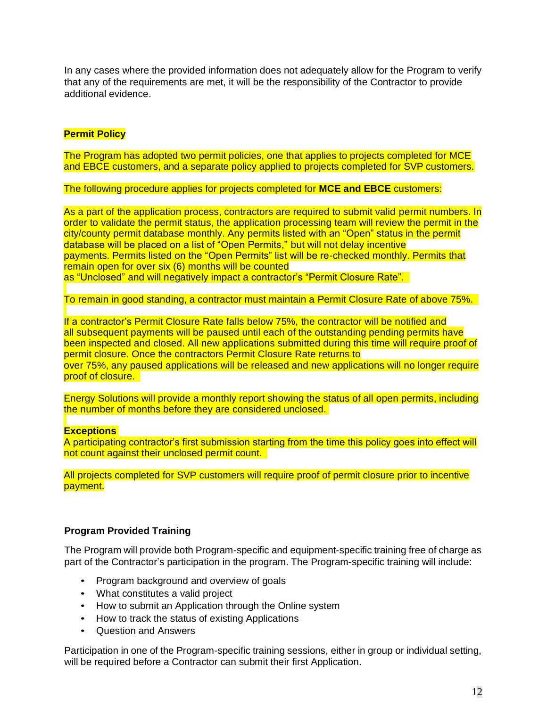In any cases where the provided information does not adequately allow for the Program to verify that any of the requirements are met, it will be the responsibility of the Contractor to provide additional evidence.

### **Permit Policy**

The Program has adopted two permit policies, one that applies to projects completed for MCE and EBCE customers, and a separate policy applied to projects completed for SVP customers.

The following procedure applies for projects completed for **MCE and EBCE** customers:

As a part of the application process, contractors are required to submit valid permit numbers. In order to validate the permit status, the application processing team will review the permit in the city/county permit database monthly. Any permits listed with an "Open" status in the permit database will be placed on a list of "Open Permits," but will not delay incentive payments. Permits listed on the "Open Permits" list will be re-checked monthly. Permits that remain open for over six (6) months will be counted as "Unclosed" and will negatively impact a contractor's "Permit Closure Rate".

To remain in good standing, a contractor must maintain a Permit Closure Rate of above 75%.

If a contractor's Permit Closure Rate falls below 75%, the contractor will be notified and all subsequent payments will be paused until each of the outstanding pending permits have been inspected and closed. All new applications submitted during this time will require proof of permit closure. Once the contractors Permit Closure Rate returns to over 75%, any paused applications will be released and new applications will no longer require

Energy Solutions will provide a monthly report showing the status of all open permits, including the number of months before they are considered unclosed.

#### **Exceptions**

proof of closure.

A participating contractor's first submission starting from the time this policy goes into effect will not count against their unclosed permit count.

All projects completed for SVP customers will require proof of permit closure prior to incentive payment.

#### **Program Provided Training**

The Program will provide both Program-specific and equipment-specific training free of charge as part of the Contractor's participation in the program. The Program-specific training will include:

- Program background and overview of goals
- What constitutes a valid project
- How to submit an Application through the Online system
- How to track the status of existing Applications
- Question and Answers

Participation in one of the Program-specific training sessions, either in group or individual setting, will be required before a Contractor can submit their first Application.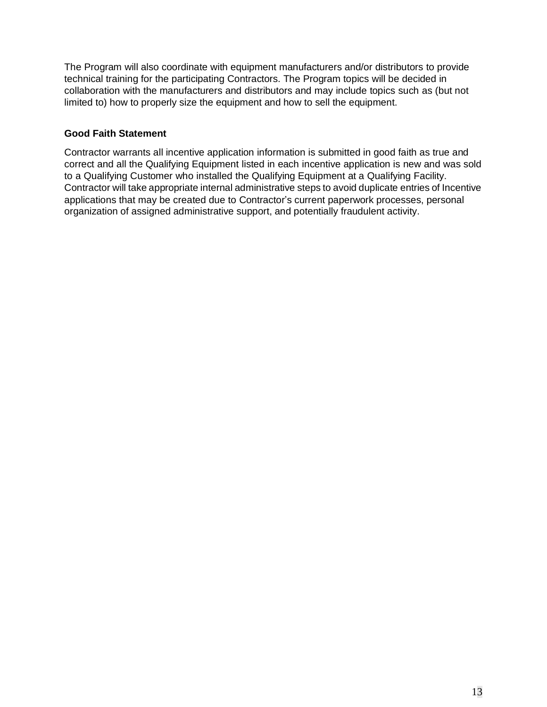The Program will also coordinate with equipment manufacturers and/or distributors to provide technical training for the participating Contractors. The Program topics will be decided in collaboration with the manufacturers and distributors and may include topics such as (but not limited to) how to properly size the equipment and how to sell the equipment.

# **Good Faith Statement**

Contractor warrants all incentive application information is submitted in good faith as true and correct and all the Qualifying Equipment listed in each incentive application is new and was sold to a Qualifying Customer who installed the Qualifying Equipment at a Qualifying Facility. Contractor will take appropriate internal administrative steps to avoid duplicate entries of Incentive applications that may be created due to Contractor's current paperwork processes, personal organization of assigned administrative support, and potentially fraudulent activity.